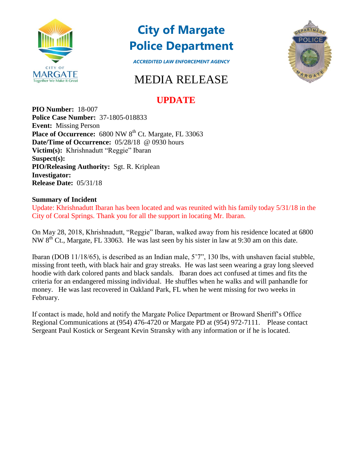

## **City of Margate Police Department**



*ACCREDITED LAW ENFORCEMENT AGENCY*

## MEDIA RELEASE

## **UPDATE**

**PIO Number:** 18-007 **Police Case Number:** 37-1805-018833 **Event:** Missing Person Place of Occurrence: 6800 NW 8<sup>th</sup> Ct. Margate, FL 33063 **Date/Time of Occurrence:** 05/28/18 @ 0930 hours **Victim(s):** Khrishnadutt "Reggie" Ibaran **Suspect(s): PIO/Releasing Authority:** Sgt. R. Kriplean **Investigator: Release Date:** 05/31/18

## **Summary of Incident**

Update: Khrishnadutt Ibaran has been located and was reunited with his family today 5/31/18 in the City of Coral Springs. Thank you for all the support in locating Mr. Ibaran.

On May 28, 2018, Khrishnadutt, "Reggie" Ibaran, walked away from his residence located at 6800 NW  $8<sup>th</sup>$  Ct., Margate, FL 33063. He was last seen by his sister in law at 9:30 am on this date.

Ibaran (DOB 11/18/65), is described as an Indian male, 5'7", 130 lbs, with unshaven facial stubble, missing front teeth, with black hair and gray streaks. He was last seen wearing a gray long sleeved hoodie with dark colored pants and black sandals. Ibaran does act confused at times and fits the criteria for an endangered missing individual. He shuffles when he walks and will panhandle for money. He was last recovered in Oakland Park, FL when he went missing for two weeks in February.

If contact is made, hold and notify the Margate Police Department or Broward Sheriff's Office Regional Communications at (954) 476-4720 or Margate PD at (954) 972-7111. Please contact Sergeant Paul Kostick or Sergeant Kevin Stransky with any information or if he is located.